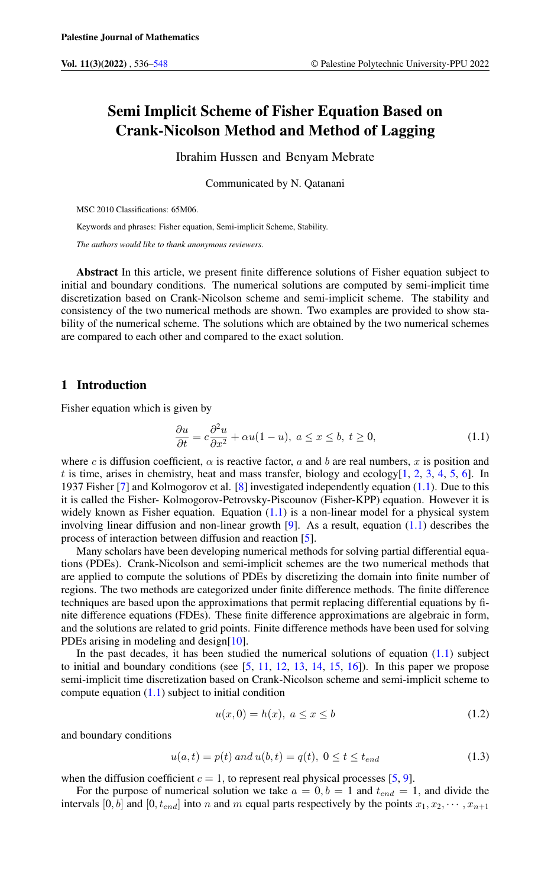# Semi Implicit Scheme of Fisher Equation Based on Crank-Nicolson Method and Method of Lagging

Ibrahim Hussen and Benyam Mebrate

Communicated by N. Qatanani

MSC 2010 Classifications: 65M06.

Keywords and phrases: Fisher equation, Semi-implicit Scheme, Stability.

*The authors would like to thank anonymous reviewers.*

Abstract In this article, we present finite difference solutions of Fisher equation subject to initial and boundary conditions. The numerical solutions are computed by semi-implicit time discretization based on Crank-Nicolson scheme and semi-implicit scheme. The stability and consistency of the two numerical methods are shown. Two examples are provided to show stability of the numerical scheme. The solutions which are obtained by the two numerical schemes are compared to each other and compared to the exact solution.

# 1 Introduction

Fisher equation which is given by

<span id="page-0-0"></span>
$$
\frac{\partial u}{\partial t} = c \frac{\partial^2 u}{\partial x^2} + \alpha u (1 - u), \ a \le x \le b, \ t \ge 0,
$$
\n(1.1)

where c is diffusion coefficient,  $\alpha$  is reactive factor, a and b are real numbers, x is position and t is time, arises in chemistry, heat and mass transfer, biology and ecology $[1, 2, 3, 4, 5, 6]$  $[1, 2, 3, 4, 5, 6]$  $[1, 2, 3, 4, 5, 6]$  $[1, 2, 3, 4, 5, 6]$  $[1, 2, 3, 4, 5, 6]$  $[1, 2, 3, 4, 5, 6]$  $[1, 2, 3, 4, 5, 6]$  $[1, 2, 3, 4, 5, 6]$  $[1, 2, 3, 4, 5, 6]$  $[1, 2, 3, 4, 5, 6]$  $[1, 2, 3, 4, 5, 6]$ . In 1937 Fisher [\[7\]](#page-11-7) and Kolmogorov et al. [\[8\]](#page-11-8) investigated independently equation [\(1.1\)](#page-0-0). Due to this it is called the Fisher- Kolmogorov-Petrovsky-Piscounov (Fisher-KPP) equation. However it is widely known as Fisher equation. Equation  $(1.1)$  is a non-linear model for a physical system involving linear diffusion and non-linear growth [\[9\]](#page-11-9). As a result, equation [\(1.1\)](#page-0-0) describes the process of interaction between diffusion and reaction [\[5\]](#page-11-5).

Many scholars have been developing numerical methods for solving partial differential equations (PDEs). Crank-Nicolson and semi-implicit schemes are the two numerical methods that are applied to compute the solutions of PDEs by discretizing the domain into finite number of regions. The two methods are categorized under finite difference methods. The finite difference techniques are based upon the approximations that permit replacing differential equations by finite difference equations (FDEs). These finite difference approximations are algebraic in form, and the solutions are related to grid points. Finite difference methods have been used for solving PDEs arising in modeling and design[\[10\]](#page-11-10).

In the past decades, it has been studied the numerical solutions of equation  $(1.1)$  subject to initial and boundary conditions (see  $[5, 11, 12, 13, 14, 15, 16]$  $[5, 11, 12, 13, 14, 15, 16]$  $[5, 11, 12, 13, 14, 15, 16]$  $[5, 11, 12, 13, 14, 15, 16]$  $[5, 11, 12, 13, 14, 15, 16]$  $[5, 11, 12, 13, 14, 15, 16]$  $[5, 11, 12, 13, 14, 15, 16]$  $[5, 11, 12, 13, 14, 15, 16]$  $[5, 11, 12, 13, 14, 15, 16]$  $[5, 11, 12, 13, 14, 15, 16]$  $[5, 11, 12, 13, 14, 15, 16]$  $[5, 11, 12, 13, 14, 15, 16]$  $[5, 11, 12, 13, 14, 15, 16]$ ). In this paper we propose semi-implicit time discretization based on Crank-Nicolson scheme and semi-implicit scheme to compute equation  $(1.1)$  subject to initial condition

<span id="page-0-1"></span>
$$
u(x,0) = h(x), \ a \le x \le b \tag{1.2}
$$

and boundary conditions

<span id="page-0-2"></span>
$$
u(a,t) = p(t) \text{ and } u(b,t) = q(t), \ 0 \le t \le t_{end}
$$
\n(1.3)

when the diffusion coefficient  $c = 1$ , to represent real physical processes [\[5,](#page-11-5) [9\]](#page-11-9).

For the purpose of numerical solution we take  $a = 0, b = 1$  and  $t_{end} = 1$ , and divide the intervals [0, b] and [0,  $t_{end}$ ] into n and m equal parts respectively by the points  $x_1, x_2, \dots, x_{n+1}$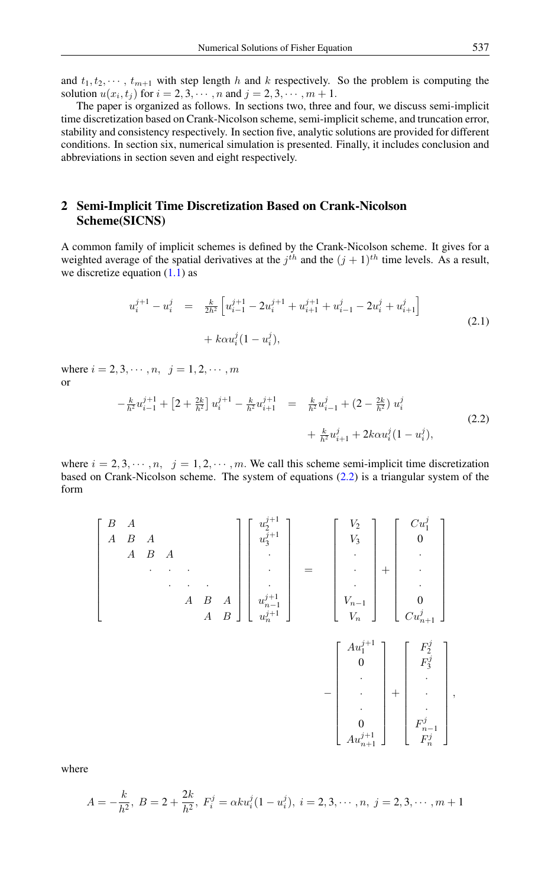and  $t_1, t_2, \dots, t_{m+1}$  with step length h and k respectively. So the problem is computing the solution  $u(x_i, t_j)$  for  $i = 2, 3, \dots, n$  and  $j = 2, 3, \dots, m + 1$ .

The paper is organized as follows. In sections two, three and four, we discuss semi-implicit time discretization based on Crank-Nicolson scheme, semi-implicit scheme, and truncation error, stability and consistency respectively. In section five, analytic solutions are provided for different conditions. In section six, numerical simulation is presented. Finally, it includes conclusion and abbreviations in section seven and eight respectively.

# 2 Semi-Implicit Time Discretization Based on Crank-Nicolson Scheme(SICNS)

A common family of implicit schemes is defined by the Crank-Nicolson scheme. It gives for a weighted average of the spatial derivatives at the  $j<sup>th</sup>$  and the  $(j + 1)<sup>th</sup>$  time levels. As a result, we discretize equation  $(1.1)$  as

<span id="page-1-1"></span>
$$
u_i^{j+1} - u_i^j = \frac{k}{2h^2} \left[ u_{i-1}^{j+1} - 2u_i^{j+1} + u_{i+1}^{j+1} + u_{i-1}^j - 2u_i^j + u_{i+1}^j \right] + k \alpha u_i^j (1 - u_i^j),
$$
\n(2.1)

<span id="page-1-0"></span>where  $i = 2, 3, \dots, n, j = 1, 2, \dots, m$ or

$$
-\frac{k}{h^2}u_{i-1}^{j+1} + \left[2 + \frac{2k}{h^2}\right]u_i^{j+1} - \frac{k}{h^2}u_{i+1}^{j+1} = \frac{k}{h^2}u_{i-1}^j + \left(2 - \frac{2k}{h^2}\right)u_i^j
$$
  
+ 
$$
\frac{k}{h^2}u_{i+1}^j + 2k\alpha u_i^j(1 - u_i^j),
$$
(2.2)

where  $i = 2, 3, \dots, n$ ,  $j = 1, 2, \dots, m$ . We call this scheme semi-implicit time discretization based on Crank-Nicolson scheme. The system of equations [\(2.2\)](#page-1-0) is a triangular system of the form

$$
\begin{bmatrix}\nB & A & & & & & \\
A & B & A & & & & \\
& & & \ddots & & & \\
& & & & A & B & A \\
& & & & & A & B\n\end{bmatrix}\n\begin{bmatrix}\nu_2^{j+1} \\ u_3^{j+1} \\ \vdots \\ \nu_{n-1}^{j+1} \\ u_n^{j+1} \end{bmatrix} = \begin{bmatrix}\nV_2 \\ V_3 \\ \vdots \\ V_{n-1} \\ V_n \end{bmatrix} + \begin{bmatrix}\nCu_1^j \\ 0 \\ \vdots \\ Cu_{n+1}^j \end{bmatrix}
$$
\n
$$
-\begin{bmatrix}\nA u_1^{j+1} \\ 0 \\ \vdots \\ 0 \\ A u_{n+1}^{j+1} \end{bmatrix} + \begin{bmatrix}\nF_2^j \\ F_3^j \\ \vdots \\ F_{n-1}^j \\ \vdots \\ F_n^{j} \end{bmatrix},
$$

where

$$
A = -\frac{k}{h^2}, \ B = 2 + \frac{2k}{h^2}, \ F_i^j = \alpha k u_i^j (1 - u_i^j), \ i = 2, 3, \cdots, n, \ j = 2, 3, \cdots, m + 1
$$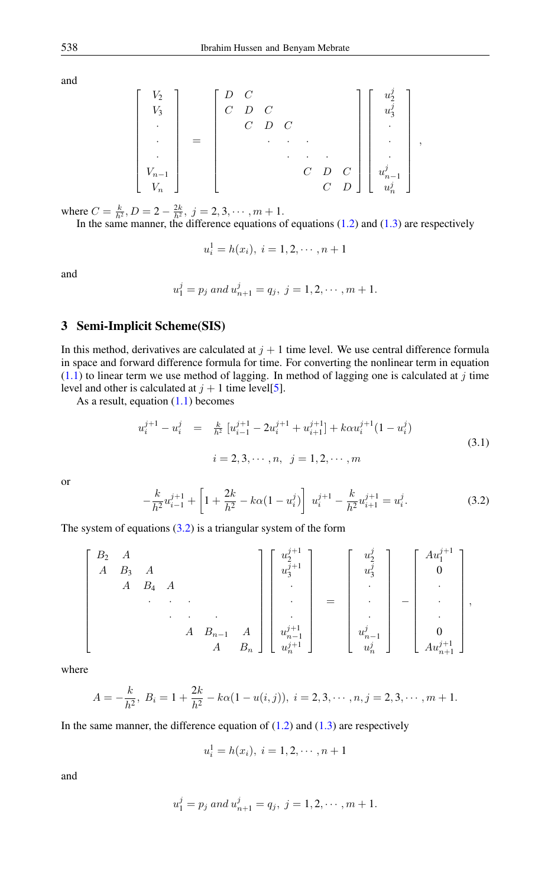and

$$
\begin{bmatrix}\nV_2 \\
V_3 \\
\vdots \\
\vdots \\
V_{n-1} \\
V_n\n\end{bmatrix} = \n\begin{bmatrix}\nD & C & & & & \\
C & D & C & & & & \\
& & \ddots & & & \\
& & & \ddots & & \\
& & & & \ddots & & \\
& & & & & \ddots & \\
& & & & & & \ddots & \\
& & & & & & & \ddots & \\
& & & & & & & & \ddots & \\
& & & & & & & & & \ddots & \\
& & & & & & & & & & \ddots & \\
& & & & & & & & & & \ddots & \\
& & & & & & & & & & & \ddots & \\
& & & & & & & & & & & & \ddots & \\
& & & & & & & & & & & & \ddots & \\
& & & & & & & & & & & & & \ddots & \\
& & & & & & & & & & & & & \ddots & \\
& & & & & & & & & & & & & & \ddots & \\
& & & & & & & & & & & & & & \ddots & \\
& & & & & & & & & & & & & & \ddots & \\
& & & & & & & & & & & & & & \ddots & \\
& & & & & & & & & & & & & & & \ddots & \\
& & & & & & & & & & & & & & & \ddots & \\
& & & & & & & & & & & & & & & \ddots & \\
& & & & & & & & & & & & & & & \ddots & \\
& & & & & & & & & & & & & & & \ddots & \\
& & & & & & & & & & & & & & & \ddots & \\
& & & & & & & & & & & & & & & \ddots & \\
& & & & & & & & & & & & & & & \ddots & \\
& & & & & & & & & & & & & & & \ddots & \\
& & & & & & & & & & & & & & & \ddots & \\
& & & & & & & & & & & & & & & \ddots & \\
& & & & & & & & & & & & & & & & \ddots & \\
& & & & & & & & & & & & & & & & \ddots & \\
& & & & & & & & & & & & & & & \ddots & \\
& & & & & & & & & & & & & & & \ddots & \\
& & & & & & & & & & & & & & & \ddots & \\
& & & & & & & & & & & & & & & \ddots & \\
& & & & & & & & & & & & & & & \ddots & \\
& & & & & & & & & & & & & & & & \ddots & \\
& & & & & & & & & & & & & & & & \ddots & \\
& & & & & & & & &
$$

,

where  $C = \frac{k}{h^2}$ ,  $D = 2 - \frac{2k}{h^2}$ ,  $j = 2, 3, \cdots, m + 1$ .

In the same manner, the difference equations of equations  $(1.2)$  and  $(1.3)$  are respectively

$$
u_i^1 = h(x_i), \ i = 1, 2, \cdots, n+1
$$

and

$$
u_1^j = p_j
$$
 and  $u_{n+1}^j = q_j$ ,  $j = 1, 2, \dots, m+1$ .

# 3 Semi-Implicit Scheme(SIS)

In this method, derivatives are calculated at  $j + 1$  time level. We use central difference formula in space and forward difference formula for time. For converting the nonlinear term in equation  $(1.1)$  to linear term we use method of lagging. In method of lagging one is calculated at j time level and other is calculated at  $j + 1$  time level[\[5\]](#page-11-5).

As a result, equation  $(1.1)$  becomes

<span id="page-2-1"></span>
$$
u_i^{j+1} - u_i^j = \frac{k}{h^2} \left[ u_{i-1}^{j+1} - 2u_i^{j+1} + u_{i+1}^{j+1} \right] + k\alpha u_i^{j+1} (1 - u_i^j)
$$
  
\n
$$
i = 2, 3, \dots, n, \quad j = 1, 2, \dots, m
$$
\n(3.1)

<span id="page-2-0"></span>or

$$
-\frac{k}{h^2}u_{i-1}^{j+1} + \left[1 + \frac{2k}{h^2} - k\alpha(1 - u_i^j)\right]u_i^{j+1} - \frac{k}{h^2}u_{i+1}^{j+1} = u_i^j.
$$
 (3.2)

The system of equations  $(3.2)$  is a triangular system of the form

$$
\begin{bmatrix} B_2 & A & & & & \\ A & B_3 & A & & & & \\ & A & B_4 & A & & & \\ & & & \ddots & & & \\ & & & & A & B_{n-1} & A \\ & & & & & A & B_n \end{bmatrix} \begin{bmatrix} u_2^{j+1} \\ u_3^{j+1} \\ \vdots \\ u_{n-1}^{j+1} \\ u_n^{j+1} \end{bmatrix} = \begin{bmatrix} u_2^j \\ u_3^j \\ \vdots \\ u_{n-1}^j \\ u_n^j \end{bmatrix} - \begin{bmatrix} Au_1^{j+1} \\ 0 \\ \vdots \\ 0 \\ Au_{n+1}^{j+1} \end{bmatrix},
$$

where

$$
A=-\frac{k}{h^2}, B_i=1+\frac{2k}{h^2}-k\alpha(1-u(i,j)), i=2,3,\cdots,n, j=2,3,\cdots,m+1.
$$

In the same manner, the difference equation of  $(1.2)$  and  $(1.3)$  are respectively

$$
u_i^1 = h(x_i), \ i = 1, 2, \cdots, n+1
$$

and

$$
u_1^j = p_j
$$
 and  $u_{n+1}^j = q_j$ ,  $j = 1, 2, \dots, m + 1$ .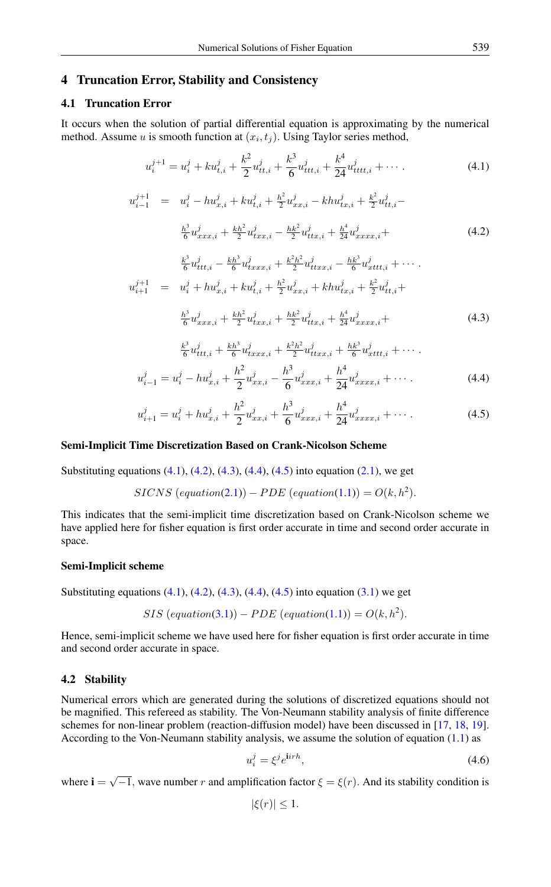## 4 Truncation Error, Stability and Consistency

## 4.1 Truncation Error

<span id="page-3-1"></span>It occurs when the solution of partial differential equation is approximating by the numerical method. Assume u is smooth function at  $(x_i, t_j)$ . Using Taylor series method,

<span id="page-3-0"></span>
$$
u_i^{j+1} = u_i^j + k u_{t,i}^j + \frac{k^2}{2} u_{tt,i}^j + \frac{k^3}{6} u_{ttt,i}^j + \frac{k^4}{24} u_{tttt,i}^j + \cdots
$$
 (4.1)

$$
u_{i-1}^{j+1} = u_i^j - hu_{x,i}^j + ku_{t,i}^j + \frac{h^2}{2}u_{xx,i}^j - khu_{tx,i}^j + \frac{k^2}{2}u_{tt,i}^j - \frac{h^3}{6}u_{xxx,i}^j + \frac{kh^2}{2}u_{txx,i}^j - \frac{hk^2}{2}u_{tx,x,i}^j + \frac{h^4}{24}u_{xxxx,i}^j +
$$
\n
$$
(4.2)
$$

<span id="page-3-2"></span>
$$
\frac{k^3}{6}u_{ttt,i}^j - \frac{kh^3}{6}u_{txxx,i}^j + \frac{k^2h^2}{2}u_{ttxx,i}^j - \frac{hk^3}{6}u_{xttt,i}^j + \cdots
$$
  

$$
u_{i+1}^{j+1} = u_i^j + hu_{x,i}^j + ku_{t,i}^j + \frac{h^2}{2}u_{xx,i}^j + khu_{tx,i}^j + \frac{k^2}{2}u_{tt,i}^j + \frac{k^3}{6}u_{xxx,i}^j + \frac{kh^2}{2}u_{txxx,i}^j + \frac{hk^2}{2}u_{ttxx,i}^j + \frac{h^4}{24}u_{xxxx,i}^j +
$$
 (4.3)

$$
\frac{k^3}{6}u_{ttt,i}^j + \frac{kh^3}{6}u_{txxx,i}^j + \frac{k^2h^2}{2}u_{txxx,i}^j + \frac{hk^3}{6}u_{xttt,i}^j + \cdots
$$
  

$$
i_{i-1} = u_i^j - hu_{x,i}^j + \frac{h^2}{2}u_{xx,i}^j - \frac{h^3}{6}u_{xxx,i}^j + \frac{h^4}{24}u_{xxxx,i}^j + \cdots
$$
 (4.4)

$$
u_{i+1}^j = u_i^j + h u_{x,i}^j + \frac{h^2}{2} u_{xx,i}^j + \frac{h^3}{6} u_{xxx,i}^j + \frac{h^4}{24} u_{xxxx,i}^j + \cdots
$$
 (4.5)

## <span id="page-3-4"></span>Semi-Implicit Time Discretization Based on Crank-Nicolson Scheme

Substituting equations [\(4.1\)](#page-3-0), [\(4.2\)](#page-3-1), [\(4.3\)](#page-3-2), [\(4.4\)](#page-3-3), [\(4.5\)](#page-3-4) into equation [\(2.1\)](#page-1-1), we get

$$
SICNS\ (equation (2.1)) - PDE\ (equation (1.1)) = O(k, h2).
$$

This indicates that the semi-implicit time discretization based on Crank-Nicolson scheme we have applied here for fisher equation is first order accurate in time and second order accurate in space.

#### Semi-Implicit scheme

<span id="page-3-3"></span> $\overline{u}$ 

Substituting equations  $(4.1)$ ,  $(4.2)$ ,  $(4.3)$ ,  $(4.4)$ ,  $(4.5)$  into equation  $(3.1)$  we get

$$
SIS\ (equation (3.1)) - PDE\ (equation (1.1)) = O(k, h2).
$$

Hence, semi-implicit scheme we have used here for fisher equation is first order accurate in time and second order accurate in space.

## 4.2 Stability

Numerical errors which are generated during the solutions of discretized equations should not be magnified. This refereed as stability. The Von-Neumann stability analysis of finite difference schemes for non-linear problem (reaction-diffusion model) have been discussed in [\[17,](#page-11-17) [18,](#page-12-0) [19\]](#page-12-1). According to the Von-Neumann stability analysis, we assume the solution of equation  $(1.1)$  as

<span id="page-3-5"></span>
$$
u_i^j = \xi^j e^{\mathbf{i} i r h},\tag{4.6}
$$

where  $\mathbf{i} = \sqrt{-1}$ , wave number r and amplification factor  $\xi = \xi(r)$ . And its stability condition is

$$
|\xi(r)| \leq 1.
$$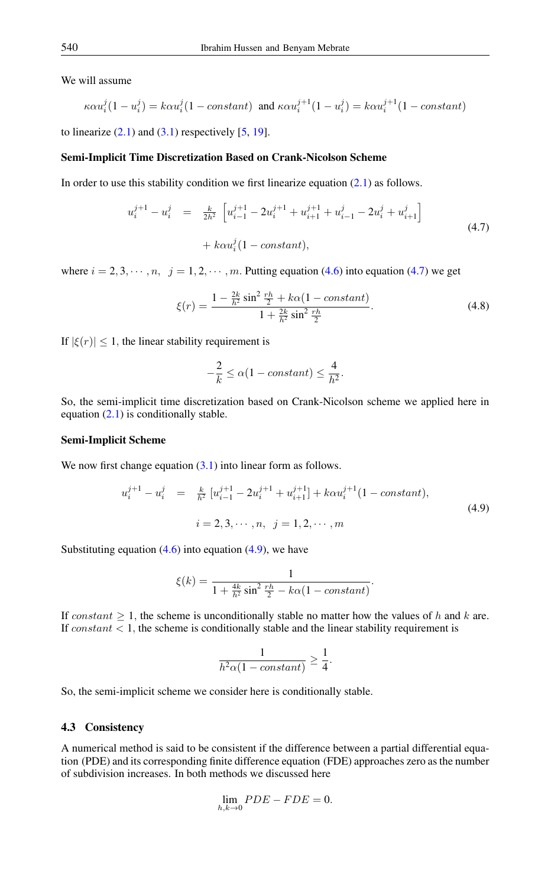We will assume

$$
\kappa \alpha u_i^j (1 - u_i^j) = k \alpha u_i^j (1 - \text{constant}) \text{ and } \kappa \alpha u_i^{j+1} (1 - u_i^j) = k \alpha u_i^{j+1} (1 - \text{constant})
$$

to linearize  $(2.1)$  and  $(3.1)$  respectively  $[5, 19]$  $[5, 19]$  $[5, 19]$ .

#### Semi-Implicit Time Discretization Based on Crank-Nicolson Scheme

In order to use this stability condition we first linearize equation  $(2.1)$  as follows.

$$
u_i^{j+1} - u_i^j = \frac{k}{2h^2} \left[ u_{i-1}^{j+1} - 2u_i^{j+1} + u_{i+1}^{j+1} + u_{i-1}^j - 2u_i^j + u_{i+1}^j \right]
$$
  
+  $k \alpha u_i^j (1 - \text{constant}),$  (4.7)

where  $i = 2, 3, \dots, n$ ,  $j = 1, 2, \dots, m$ . Putting equation [\(4.6\)](#page-3-5) into equation [\(4.7\)](#page-4-0) we get

<span id="page-4-0"></span>
$$
\xi(r) = \frac{1 - \frac{2k}{h^2} \sin^2 \frac{rh}{2} + k\alpha (1 - constant)}{1 + \frac{2k}{h^2} \sin^2 \frac{rh}{2}}.
$$
\n(4.8)

If  $|\xi(r)| \leq 1$ , the linear stability requirement is

<span id="page-4-1"></span>
$$
-\frac{2}{k} \le \alpha(1 - constant) \le \frac{4}{h^2}.
$$

So, the semi-implicit time discretization based on Crank-Nicolson scheme we applied here in equation  $(2.1)$  is conditionally stable.

#### Semi-Implicit Scheme

We now first change equation  $(3.1)$  into linear form as follows.

$$
u_i^{j+1} - u_i^j = \frac{k}{h^2} \left[ u_{i-1}^{j+1} - 2u_i^{j+1} + u_{i+1}^{j+1} \right] + k\alpha u_i^{j+1} (1 - constant),
$$
  
\n
$$
i = 2, 3, \dots, n, \quad j = 1, 2, \dots, m
$$
\n(4.9)

Substituting equation  $(4.6)$  into equation  $(4.9)$ , we have

$$
\xi(k) = \frac{1}{1 + \frac{4k}{h^2} \sin^2 \frac{rh}{2} - k\alpha (1 - constant)}.
$$

If constant  $\geq 1$ , the scheme is unconditionally stable no matter how the values of h and k are. If  $constant < 1$ , the scheme is conditionally stable and the linear stability requirement is

$$
\frac{1}{h^2\alpha(1 - constant)} \ge \frac{1}{4}.
$$

So, the semi-implicit scheme we consider here is conditionally stable.

#### 4.3 Consistency

A numerical method is said to be consistent if the difference between a partial differential equation (PDE) and its corresponding finite difference equation (FDE) approaches zero as the number of subdivision increases. In both methods we discussed here

$$
\lim_{h,k\to 0} PDE - FDE = 0.
$$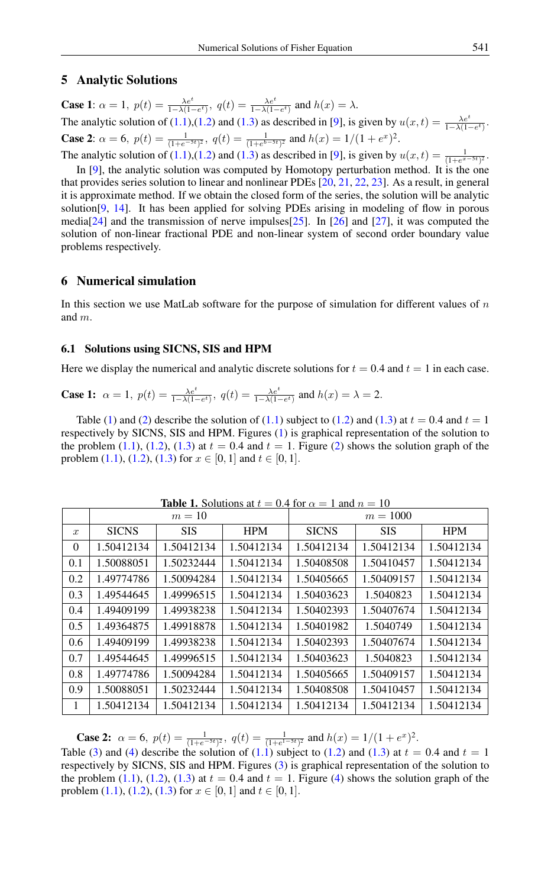## 5 Analytic Solutions

**Case 1:**  $\alpha = 1$ ,  $p(t) = \frac{\lambda e^t}{1 - \lambda(1 - e^t)}$ ,  $q(t) = \frac{\lambda e^t}{1 - \lambda(1 - e^t)}$  and  $h(x) = \lambda$ . The analytic solution of [\(1.1\)](#page-0-0),[\(1.2\)](#page-0-1) and [\(1.3\)](#page-0-2) as described in [\[9\]](#page-11-9), is given by  $u(x,t) = \frac{\lambda e^t}{1-\lambda(1-e^t)}$ . **Case 2:**  $\alpha = 6$ ,  $p(t) = \frac{1}{(1 + e^{-5t})^2}$ ,  $q(t) = \frac{1}{(1 + e^{b-5t})^2}$  and  $h(x) = 1/(1 + e^x)^2$ . The analytic solution of [\(1.1\)](#page-0-0),[\(1.2\)](#page-0-1) and [\(1.3\)](#page-0-2) as described in [\[9\]](#page-11-9), is given by  $u(x,t) = \frac{1}{(1+e^{x-5t})^2}$ .

In [\[9\]](#page-11-9), the analytic solution was computed by Homotopy perturbation method. It is the one that provides series solution to linear and nonlinear PDEs [\[20,](#page-12-2) [21,](#page-12-3) [22,](#page-12-4) [23\]](#page-12-5). As a result, in general it is approximate method. If we obtain the closed form of the series, the solution will be analytic solution [\[9,](#page-11-9) [14\]](#page-11-14). It has been applied for solving PDEs arising in modeling of flow in porous media[\[24\]](#page-12-6) and the transmission of nerve impulses[\[25\]](#page-12-7). In [\[26\]](#page-12-8) and [\[27\]](#page-12-9), it was computed the solution of non-linear fractional PDE and non-linear system of second order boundary value problems respectively.

## 6 Numerical simulation

In this section we use MatLab software for the purpose of simulation for different values of  $n$ and m.

#### 6.1 Solutions using SICNS, SIS and HPM

Here we display the numerical and analytic discrete solutions for  $t = 0.4$  and  $t = 1$  in each case.

**Case 1:** 
$$
\alpha = 1
$$
,  $p(t) = \frac{\lambda e^t}{1 - \lambda (1 - e^t)}$ ,  $q(t) = \frac{\lambda e^t}{1 - \lambda (1 - e^t)}$  and  $h(x) = \lambda = 2$ .

Table [\(1\)](#page-5-0) and [\(2\)](#page-6-0) describe the solution of [\(1.1\)](#page-0-0) subject to [\(1.2\)](#page-0-1) and [\(1.3\)](#page-0-2) at  $t = 0.4$  and  $t = 1$ respectively by SICNS, SIS and HPM. Figures [\(1\)](#page-6-1) is graphical representation of the solution to the problem [\(1.1\)](#page-0-0), [\(1.2\)](#page-0-1), [\(1.3\)](#page-0-2) at  $t = 0.4$  and  $t = 1$ . Figure [\(2\)](#page-6-2) shows the solution graph of the problem [\(1.1\)](#page-0-0), [\(1.2\)](#page-0-1), [\(1.3\)](#page-0-2) for  $x \in [0, 1]$  and  $t \in [0, 1]$ .

|                  | <b>1400 1.</b> OURRORS at $t = 0.7$ for $\alpha = 1$ and $t = 10$<br>$m=10$ |            |            | $m = 1000$   |            |            |
|------------------|-----------------------------------------------------------------------------|------------|------------|--------------|------------|------------|
| $\boldsymbol{x}$ | <b>SICNS</b>                                                                | <b>SIS</b> | <b>HPM</b> | <b>SICNS</b> | <b>SIS</b> | <b>HPM</b> |
| 0                | 1.50412134                                                                  | 1.50412134 | 1.50412134 | 1.50412134   | 1.50412134 | 1.50412134 |
| 0.1              | 1.50088051                                                                  | 1.50232444 | 1.50412134 | 1.50408508   | 1.50410457 | 1.50412134 |
| 0.2              | 1.49774786                                                                  | 1.50094284 | 1.50412134 | 1.50405665   | 1.50409157 | 1.50412134 |
| 0.3              | 1.49544645                                                                  | 1.49996515 | 1.50412134 | 1.50403623   | 1.5040823  | 1.50412134 |
| 0.4              | 1.49409199                                                                  | 1.49938238 | 1.50412134 | 1.50402393   | 1.50407674 | 1.50412134 |
| 0.5              | 1.49364875                                                                  | 1.49918878 | 1.50412134 | 1.50401982   | 1.5040749  | 1.50412134 |
| 0.6              | 1.49409199                                                                  | 1.49938238 | 1.50412134 | 1.50402393   | 1.50407674 | 1.50412134 |
| 0.7              | 1.49544645                                                                  | 1.49996515 | 1.50412134 | 1.50403623   | 1.5040823  | 1.50412134 |
| 0.8              | 1.49774786                                                                  | 1.50094284 | 1.50412134 | 1.50405665   | 1.50409157 | 1.50412134 |
| 0.9              | 1.50088051                                                                  | 1.50232444 | 1.50412134 | 1.50408508   | 1.50410457 | 1.50412134 |
| 1                | 1.50412134                                                                  | 1.50412134 | 1.50412134 | 1.50412134   | 1.50412134 | 1.50412134 |

<span id="page-5-0"></span>**Table 1.** Solutions at  $t = 0.4$  for  $\alpha = 1$  and  $n = 10$ 

**Case 2:**  $\alpha = 6$ ,  $p(t) = \frac{1}{(1+e^{-5t})^2}$ ,  $q(t) = \frac{1}{(1+e^{1-5t})^2}$  and  $h(x) = 1/(1+e^x)^2$ .

Table [\(3\)](#page-7-0) and [\(4\)](#page-7-1) describe the solution of [\(1.1\)](#page-0-0) subject to [\(1.2\)](#page-0-1) and [\(1.3\)](#page-0-2) at  $t = 0.4$  and  $t = 1$ respectively by SICNS, SIS and HPM. Figures [\(3\)](#page-7-2) is graphical representation of the solution to the problem [\(1.1\)](#page-0-0), [\(1.2\)](#page-0-1), [\(1.3\)](#page-0-2) at  $t = 0.4$  and  $t = 1$ . Figure [\(4\)](#page-8-0) shows the solution graph of the problem [\(1.1\)](#page-0-0), [\(1.2\)](#page-0-1), [\(1.3\)](#page-0-2) for  $x \in [0, 1]$  and  $t \in [0, 1]$ .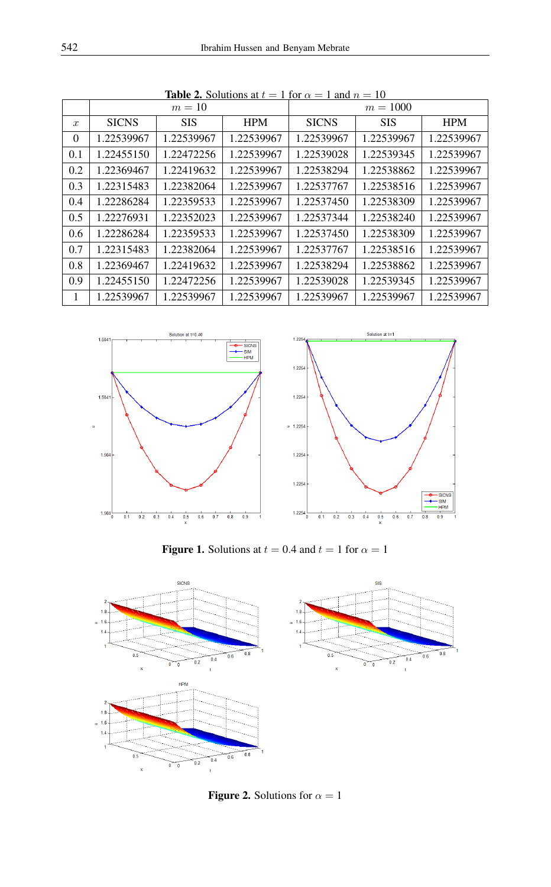|                  | $m=10$       |            |            | $m = 1000$   |            |            |
|------------------|--------------|------------|------------|--------------|------------|------------|
| $\boldsymbol{x}$ | <b>SICNS</b> | <b>SIS</b> | <b>HPM</b> | <b>SICNS</b> | <b>SIS</b> | <b>HPM</b> |
| $\Omega$         | 1.22539967   | 1.22539967 | 1.22539967 | 1.22539967   | 1.22539967 | 1.22539967 |
| 0.1              | 1.22455150   | 1.22472256 | 1.22539967 | 1.22539028   | 1.22539345 | 1.22539967 |
| 0.2              | 1.22369467   | 1.22419632 | 1.22539967 | 1.22538294   | 1.22538862 | 1.22539967 |
| 0.3              | 1.22315483   | 1.22382064 | 1.22539967 | 1.22537767   | 1.22538516 | 1.22539967 |
| 0.4              | 1.22286284   | 1.22359533 | 1.22539967 | 1.22537450   | 1.22538309 | 1.22539967 |
| 0.5              | 1.22276931   | 1.22352023 | 1.22539967 | 1.22537344   | 1.22538240 | 1.22539967 |
| 0.6              | 1.22286284   | 1.22359533 | 1.22539967 | 1.22537450   | 1.22538309 | 1.22539967 |
| 0.7              | 1.22315483   | 1.22382064 | 1.22539967 | 1.22537767   | 1.22538516 | 1.22539967 |
| 0.8              | 1.22369467   | 1.22419632 | 1.22539967 | 1.22538294   | 1.22538862 | 1.22539967 |
| 0.9              | 1.22455150   | 1.22472256 | 1.22539967 | 1.22539028   | 1.22539345 | 1.22539967 |
| 1                | 1.22539967   | 1.22539967 | 1.22539967 | 1.22539967   | 1.22539967 | 1.22539967 |

<span id="page-6-0"></span>**Table 2.** Solutions at  $t = 1$  for  $\alpha = 1$  and  $n = 10$ 



<span id="page-6-1"></span>Figure 1. Solutions at  $t = 0.4$  and  $t = 1$  for  $\alpha = 1$ 



<span id="page-6-2"></span>**Figure 2.** Solutions for  $\alpha = 1$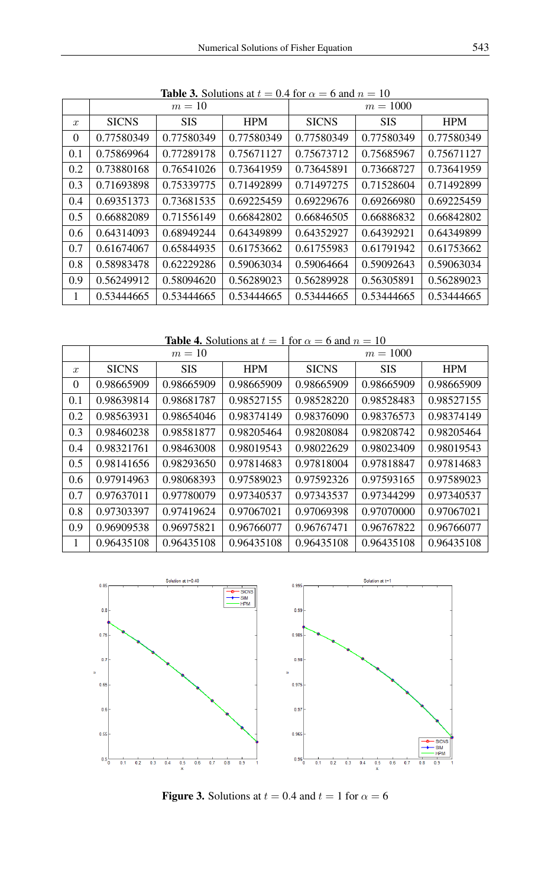|                  |              | $m=10$     |            |              | $m = 1000$ |            |
|------------------|--------------|------------|------------|--------------|------------|------------|
| $\boldsymbol{x}$ | <b>SICNS</b> | <b>SIS</b> | <b>HPM</b> | <b>SICNS</b> | <b>SIS</b> | <b>HPM</b> |
| $\Omega$         | 0.77580349   | 0.77580349 | 0.77580349 | 0.77580349   | 0.77580349 | 0.77580349 |
| 0.1              | 0.75869964   | 0.77289178 | 0.75671127 | 0.75673712   | 0.75685967 | 0.75671127 |
| 0.2              | 0.73880168   | 0.76541026 | 0.73641959 | 0.73645891   | 0.73668727 | 0.73641959 |
| 0.3              | 0.71693898   | 0.75339775 | 0.71492899 | 0.71497275   | 0.71528604 | 0.71492899 |
| 0.4              | 0.69351373   | 0.73681535 | 0.69225459 | 0.69229676   | 0.69266980 | 0.69225459 |
| 0.5              | 0.66882089   | 0.71556149 | 0.66842802 | 0.66846505   | 0.66886832 | 0.66842802 |
| 0.6              | 0.64314093   | 0.68949244 | 0.64349899 | 0.64352927   | 0.64392921 | 0.64349899 |
| 0.7              | 0.61674067   | 0.65844935 | 0.61753662 | 0.61755983   | 0.61791942 | 0.61753662 |
| 0.8              | 0.58983478   | 0.62229286 | 0.59063034 | 0.59064664   | 0.59092643 | 0.59063034 |
| 0.9              | 0.56249912   | 0.58094620 | 0.56289023 | 0.56289928   | 0.56305891 | 0.56289023 |
| 1                | 0.53444665   | 0.53444665 | 0.53444665 | 0.53444665   | 0.53444665 | 0.53444665 |

<span id="page-7-0"></span>**Table 3.** Solutions at  $t = 0.4$  for  $\alpha = 6$  and  $n = 10$ 

<span id="page-7-1"></span>**Table 4.** Solutions at  $t = 1$  for  $\alpha = 6$  and  $n = 10$ 

|                  |              | $m=10$     |            | $m = 1000$   |            |            |
|------------------|--------------|------------|------------|--------------|------------|------------|
| $\boldsymbol{x}$ | <b>SICNS</b> | <b>SIS</b> | <b>HPM</b> | <b>SICNS</b> | <b>SIS</b> | <b>HPM</b> |
| $\Omega$         | 0.98665909   | 0.98665909 | 0.98665909 | 0.98665909   | 0.98665909 | 0.98665909 |
| 0.1              | 0.98639814   | 0.98681787 | 0.98527155 | 0.98528220   | 0.98528483 | 0.98527155 |
| 0.2              | 0.98563931   | 0.98654046 | 0.98374149 | 0.98376090   | 0.98376573 | 0.98374149 |
| 0.3              | 0.98460238   | 0.98581877 | 0.98205464 | 0.98208084   | 0.98208742 | 0.98205464 |
| 0.4              | 0.98321761   | 0.98463008 | 0.98019543 | 0.98022629   | 0.98023409 | 0.98019543 |
| 0.5              | 0.98141656   | 0.98293650 | 0.97814683 | 0.97818004   | 0.97818847 | 0.97814683 |
| 0.6              | 0.97914963   | 0.98068393 | 0.97589023 | 0.97592326   | 0.97593165 | 0.97589023 |
| 0.7              | 0.97637011   | 0.97780079 | 0.97340537 | 0.97343537   | 0.97344299 | 0.97340537 |
| 0.8              | 0.97303397   | 0.97419624 | 0.97067021 | 0.97069398   | 0.97070000 | 0.97067021 |
| 0.9              | 0.96909538   | 0.96975821 | 0.96766077 | 0.96767471   | 0.96767822 | 0.96766077 |
| 1                | 0.96435108   | 0.96435108 | 0.96435108 | 0.96435108   | 0.96435108 | 0.96435108 |



<span id="page-7-2"></span>Figure 3. Solutions at  $t = 0.4$  and  $t = 1$  for  $\alpha = 6$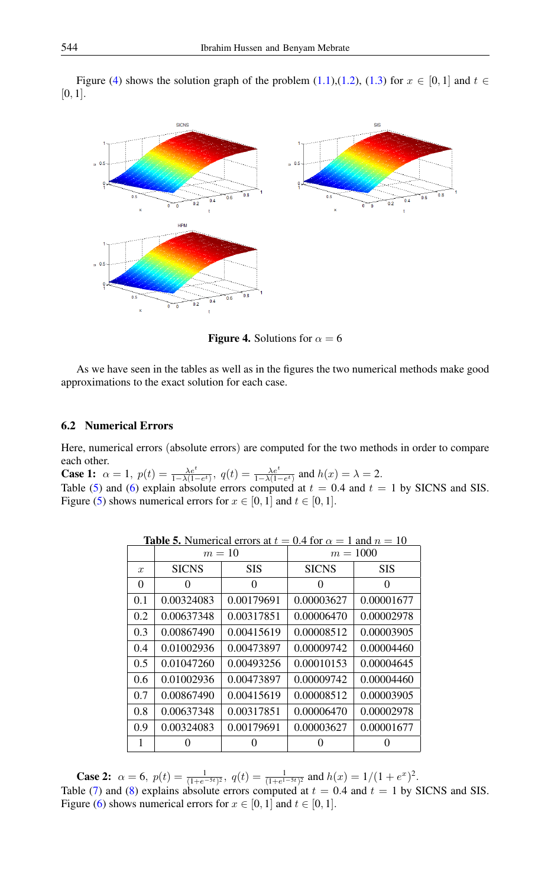Figure [\(4\)](#page-8-0) shows the solution graph of the problem [\(1.1\)](#page-0-0),[\(1.2\)](#page-0-1), [\(1.3\)](#page-0-2) for  $x \in [0, 1]$  and  $t \in$ [0, 1].



<span id="page-8-0"></span>**Figure 4.** Solutions for  $\alpha = 6$ 

As we have seen in the tables as well as in the figures the two numerical methods make good approximations to the exact solution for each case.

#### 6.2 Numerical Errors

Here, numerical errors (absolute errors) are computed for the two methods in order to compare each other.

**Case 1:**  $\alpha = 1$ ,  $p(t) = \frac{\lambda e^t}{1 - \lambda(1 - e^t)}$ ,  $q(t) = \frac{\lambda e^t}{1 - \lambda(1 - e^t)}$  and  $h(x) = \lambda = 2$ .

Table [\(5\)](#page-8-1) and [\(6\)](#page-9-0) explain absolute errors computed at  $t = 0.4$  and  $t = 1$  by SICNS and SIS. Figure [\(5\)](#page-9-1) shows numerical errors for  $x \in [0, 1]$  and  $t \in [0, 1]$ .

|                  | $m=10$       |            | $m = 1000$   |            |
|------------------|--------------|------------|--------------|------------|
| $\boldsymbol{x}$ | <b>SICNS</b> | <b>SIS</b> | <b>SICNS</b> | <b>SIS</b> |
| 0                | 0            | 0          | $\theta$     | 0          |
| 0.1              | 0.00324083   | 0.00179691 | 0.00003627   | 0.00001677 |
| 0.2              | 0.00637348   | 0.00317851 | 0.00006470   | 0.00002978 |
| 0.3              | 0.00867490   | 0.00415619 | 0.00008512   | 0.00003905 |
| 0.4              | 0.01002936   | 0.00473897 | 0.00009742   | 0.00004460 |
| 0.5              | 0.01047260   | 0.00493256 | 0.00010153   | 0.00004645 |
| 0.6              | 0.01002936   | 0.00473897 | 0.00009742   | 0.00004460 |
| 0.7              | 0.00867490   | 0.00415619 | 0.00008512   | 0.00003905 |
| 0.8              | 0.00637348   | 0.00317851 | 0.00006470   | 0.00002978 |
| 0.9              | 0.00324083   | 0.00179691 | 0.00003627   | 0.00001677 |
|                  |              |            |              |            |

<span id="page-8-1"></span>**Table 5.** Numerical errors at  $t = 0.4$  for  $\alpha = 1$  and  $n = 10$ 

**Case 2:**  $\alpha = 6$ ,  $p(t) = \frac{1}{(1+e^{-5t})^2}$ ,  $q(t) = \frac{1}{(1+e^{1-5t})^2}$  and  $h(x) = 1/(1+e^x)^2$ . Table [\(7\)](#page-9-2) and [\(8\)](#page-10-0) explains absolute errors computed at  $t = 0.4$  and  $t = 1$  by SICNS and SIS. Figure [\(6\)](#page-10-1) shows numerical errors for  $x \in [0, 1]$  and  $t \in [0, 1]$ .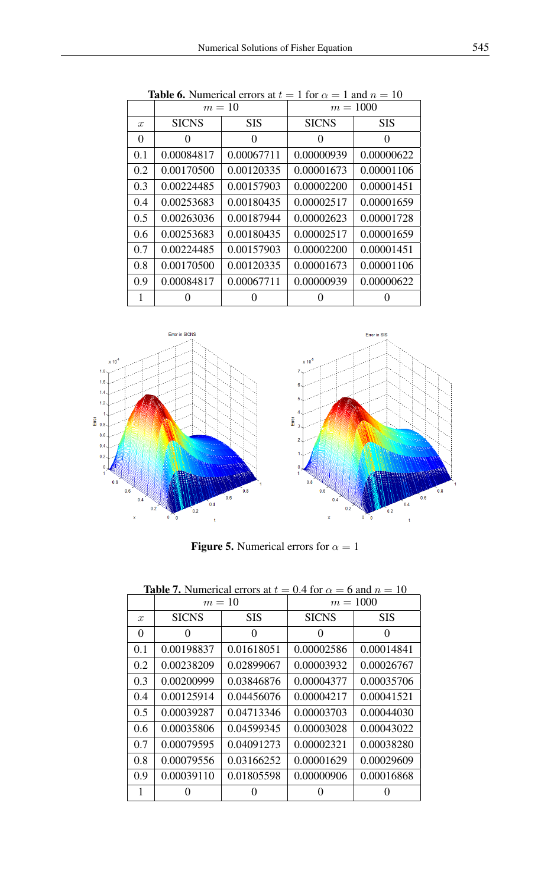|               | <b>10010 0.</b> INHILION CHOIS 0. | $m=10$     | 1 IVI U<br>$-1$ and $\nu - 10$<br>$m = 1000$ |            |  |
|---------------|-----------------------------------|------------|----------------------------------------------|------------|--|
| $\mathcal{X}$ | <b>SICNS</b>                      | <b>SIS</b> | <b>SICNS</b>                                 | <b>SIS</b> |  |
| $\theta$      | 0                                 | 0          | 0                                            | $\theta$   |  |
| 0.1           | 0.00084817                        | 0.00067711 | 0.00000939                                   | 0.00000622 |  |
| 0.2           | 0.00170500                        | 0.00120335 | 0.00001673                                   | 0.00001106 |  |
| 0.3           | 0.00224485                        | 0.00157903 | 0.00002200                                   | 0.00001451 |  |
| 0.4           | 0.00253683                        | 0.00180435 | 0.00002517                                   | 0.00001659 |  |
| 0.5           | 0.00263036                        | 0.00187944 | 0.00002623                                   | 0.00001728 |  |
| 0.6           | 0.00253683                        | 0.00180435 | 0.00002517                                   | 0.00001659 |  |
| 0.7           | 0.00224485                        | 0.00157903 | 0.00002200                                   | 0.00001451 |  |
| 0.8           | 0.00170500                        | 0.00120335 | 0.00001673                                   | 0.00001106 |  |
| 0.9           | 0.00084817                        | 0.00067711 | 0.00000939                                   | 0.00000622 |  |
| 1             |                                   |            |                                              |            |  |

<span id="page-9-0"></span>**Table 6.** Numerical errors at  $t = 1$  for  $\alpha = 1$  and  $n = 10$ 



<span id="page-9-2"></span><span id="page-9-1"></span>**Figure 5.** Numerical errors for  $\alpha = 1$ 

|                  | $m=10$       |            | $m = 1000$   |            |  |
|------------------|--------------|------------|--------------|------------|--|
| $\boldsymbol{x}$ | <b>SICNS</b> | <b>SIS</b> | <b>SICNS</b> | <b>SIS</b> |  |
| $\theta$         | 0            | 0          | $\Omega$     | 0          |  |
| 0.1              | 0.00198837   | 0.01618051 | 0.00002586   | 0.00014841 |  |
| 0.2              | 0.00238209   | 0.02899067 | 0.00003932   | 0.00026767 |  |
| 0.3              | 0.00200999   | 0.03846876 | 0.00004377   | 0.00035706 |  |
| 0.4              | 0.00125914   | 0.04456076 | 0.00004217   | 0.00041521 |  |
| 0.5              | 0.00039287   | 0.04713346 | 0.00003703   | 0.00044030 |  |
| 0.6              | 0.00035806   | 0.04599345 | 0.00003028   | 0.00043022 |  |
| 0.7              | 0.00079595   | 0.04091273 | 0.00002321   | 0.00038280 |  |
| 0.8              | 0.00079556   | 0.03166252 | 0.00001629   | 0.00029609 |  |
| 0.9              | 0.00039110   | 0.01805598 | 0.00000906   | 0.00016868 |  |
| 1                |              |            |              |            |  |

**Table 7.** Numerical errors at  $t = 0.4$  for  $\alpha = 6$  and  $n = 10$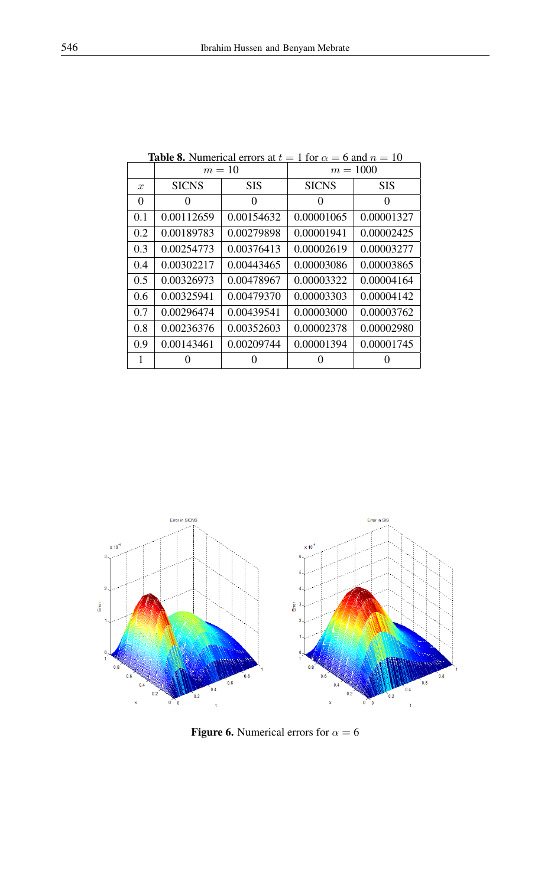|                  | $m=10$            |            | $m = 1000$   |            |
|------------------|-------------------|------------|--------------|------------|
| $\boldsymbol{x}$ | <b>SICNS</b>      | <b>SIS</b> | <b>SICNS</b> | <b>SIS</b> |
| 0                | $\mathbf{\Omega}$ | 0          | $\theta$     | 0          |
| 0.1              | 0.00112659        | 0.00154632 | 0.00001065   | 0.00001327 |
| 0.2              | 0.00189783        | 0.00279898 | 0.00001941   | 0.00002425 |
| 0.3              | 0.00254773        | 0.00376413 | 0.00002619   | 0.00003277 |
| 0.4              | 0.00302217        | 0.00443465 | 0.00003086   | 0.00003865 |
| 0.5              | 0.00326973        | 0.00478967 | 0.00003322   | 0.00004164 |
| 0.6              | 0.00325941        | 0.00479370 | 0.00003303   | 0.00004142 |
| 0.7              | 0.00296474        | 0.00439541 | 0.00003000   | 0.00003762 |
| 0.8              | 0.00236376        | 0.00352603 | 0.00002378   | 0.00002980 |
| 0.9              | 0.00143461        | 0.00209744 | 0.00001394   | 0.00001745 |
| 1                |                   |            |              |            |

<span id="page-10-0"></span>**Table 8.** Numerical errors at  $t = 1$  for  $\alpha = 6$  and  $n = 10$ 



<span id="page-10-1"></span>Figure 6. Numerical errors for  $\alpha = 6$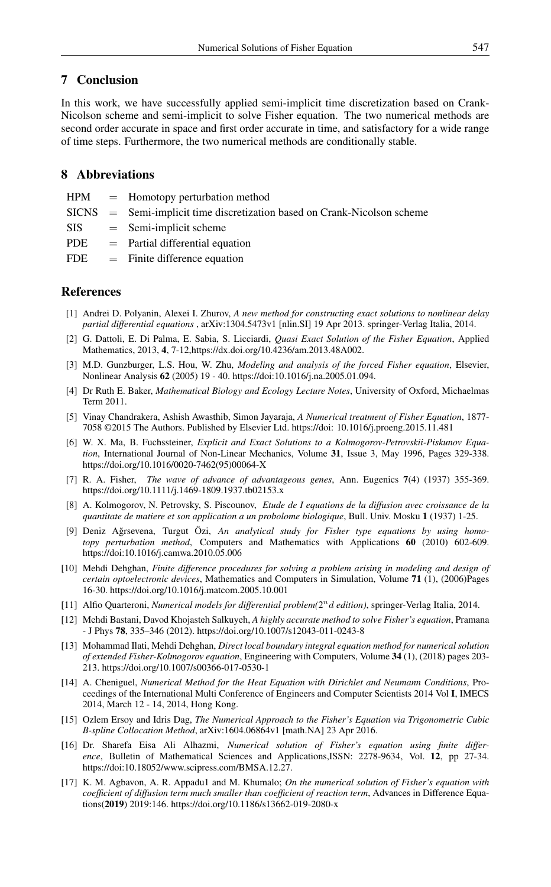# 7 Conclusion

In this work, we have successfully applied semi-implicit time discretization based on Crank-Nicolson scheme and semi-implicit to solve Fisher equation. The two numerical methods are second order accurate in space and first order accurate in time, and satisfactory for a wide range of time steps. Furthermore, the two numerical methods are conditionally stable.

# 8 Abbreviations

- $HPM =$  Homotopy perturbation method
- SICNS = Semi-implicit time discretization based on Crank-Nicolson scheme
- $SIS = Semi-implicit scheme$
- $PDE$  = Partial differential equation
- $FDE$  = Finite difference equation

# <span id="page-11-0"></span>References

- <span id="page-11-1"></span>[1] Andrei D. Polyanin, Alexei I. Zhurov, *A new method for constructing exact solutions to nonlinear delay partial differential equations* , arXiv:1304.5473v1 [nlin.SI] 19 Apr 2013. springer-Verlag Italia, 2014.
- <span id="page-11-2"></span>[2] G. Dattoli, E. Di Palma, E. Sabia, S. Licciardi, *Quasi Exact Solution of the Fisher Equation*, Applied Mathematics, 2013, 4, 7-12,https://dx.doi.org/10.4236/am.2013.48A002.
- <span id="page-11-3"></span>[3] M.D. Gunzburger, L.S. Hou, W. Zhu, *Modeling and analysis of the forced Fisher equation*, Elsevier, Nonlinear Analysis 62 (2005) 19 - 40. https://doi:10.1016/j.na.2005.01.094.
- <span id="page-11-4"></span>[4] Dr Ruth E. Baker, *Mathematical Biology and Ecology Lecture Notes*, University of Oxford, Michaelmas Term 2011.
- <span id="page-11-5"></span>[5] Vinay Chandrakera, Ashish Awasthib, Simon Jayaraja, *A Numerical treatment of Fisher Equation*, 1877- 7058 ©2015 The Authors. Published by Elsevier Ltd. https://doi: 10.1016/j.proeng.2015.11.481
- <span id="page-11-6"></span>[6] W. X. Ma, B. Fuchssteiner, *Explicit and Exact Solutions to a Kolmogorov-Petrovskii-Piskunov Equation*, International Journal of Non-Linear Mechanics, Volume 31, Issue 3, May 1996, Pages 329-338. https://doi.org/10.1016/0020-7462(95)00064-X
- <span id="page-11-7"></span>[7] R. A. Fisher, *The wave of advance of advantageous genes*, Ann. Eugenics 7(4) (1937) 355-369. https://doi.org/10.1111/j.1469-1809.1937.tb02153.x
- <span id="page-11-8"></span>[8] A. Kolmogorov, N. Petrovsky, S. Piscounov, *Etude de I equations de la diffusion avec croissance de la quantitate de matiere et son application a un probolome biologique*, Bull. Univ. Mosku 1 (1937) 1-25.
- <span id="page-11-9"></span>[9] Deniz Ağrsevena, Turgut Özi, An analytical study for Fisher type equations by using homo*topy perturbation method*, Computers and Mathematics with Applications 60 (2010) 602-609. https://doi:10.1016/j.camwa.2010.05.006
- <span id="page-11-10"></span>[10] Mehdi Dehghan, *Finite difference procedures for solving a problem arising in modeling and design of certain optoelectronic devices*, Mathematics and Computers in Simulation, Volume 71 (1), (2006)Pages 16-30. https://doi.org/10.1016/j.matcom.2005.10.001
- <span id="page-11-11"></span>[11] Alfio Quarteroni, *Numerical models for differential problem*(2<sup>n</sup> d edition), springer-Verlag Italia, 2014.
- <span id="page-11-12"></span>[12] Mehdi Bastani, Davod Khojasteh Salkuyeh, *A highly accurate method to solve Fisher's equation*, Pramana - J Phys 78, 335–346 (2012). https://doi.org/10.1007/s12043-011-0243-8
- <span id="page-11-13"></span>[13] Mohammad Ilati, Mehdi Dehghan, *Direct local boundary integral equation method for numerical solution of extended Fisher-Kolmogorov equation*, Engineering with Computers, Volume 34 (1), (2018) pages 203- 213. https://doi.org/10.1007/s00366-017-0530-1
- <span id="page-11-14"></span>[14] A. Cheniguel, *Numerical Method for the Heat Equation with Dirichlet and Neumann Conditions*, Proceedings of the International Multi Conference of Engineers and Computer Scientists 2014 Vol I, IMECS 2014, March 12 - 14, 2014, Hong Kong.
- <span id="page-11-15"></span>[15] Ozlem Ersoy and Idris Dag, *The Numerical Approach to the Fisher's Equation via Trigonometric Cubic B-spline Collocation Method*, arXiv:1604.06864v1 [math.NA] 23 Apr 2016.
- <span id="page-11-16"></span>[16] Dr. Sharefa Eisa Ali Alhazmi, *Numerical solution of Fisher's equation using finite difference*, Bulletin of Mathematical Sciences and Applications,ISSN: 2278-9634, Vol. 12, pp 27-34. https://doi:10.18052/www.scipress.com/BMSA.12.27.
- <span id="page-11-17"></span>[17] K. M. Agbavon, A. R. Appadu1 and M. Khumalo; *On the numerical solution of Fisher's equation with coefficient of diffusion term much smaller than coefficient of reaction term*, Advances in Difference Equations(2019) 2019:146. https://doi.org/10.1186/s13662-019-2080-x